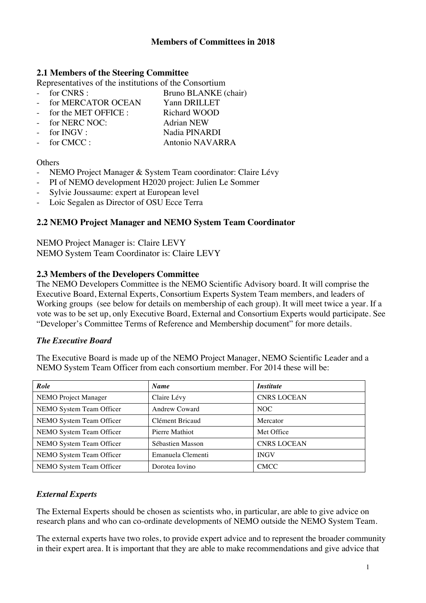#### **2.1 Members of the Steering Committee**

Representatives of the institutions of the Consortium<br>France Representatives of the institutions of the Consortium

- 
- Bruno BLANKE (chair)
- for MERCATOR OCEAN Yann DRILLET
- for the MET OFFICE : Richard WOOD
- for NERC NOC: Adrian NEW
- 
- for INGV : Nadia PINARDI
- for CMCC : Antonio NAVARRA

#### **Others**

- NEMO Project Manager & System Team coordinator: Claire Lévy
- PI of NEMO development H2020 project: Julien Le Sommer
- Sylvie Joussaume: expert at European level
- Loic Segalen as Director of OSU Ecce Terra

## **2.2 NEMO Project Manager and NEMO System Team Coordinator**

NEMO Project Manager is: Claire LEVY NEMO System Team Coordinator is: Claire LEVY

## **2.3 Members of the Developers Committee**

The NEMO Developers Committee is the NEMO Scientific Advisory board. It will comprise the Executive Board, External Experts, Consortium Experts System Team members, and leaders of Working groups (see below for details on membership of each group). It will meet twice a year. If a vote was to be set up, only Executive Board, External and Consortium Experts would participate. See "Developer's Committee Terms of Reference and Membership document" for more details.

## *The Executive Board*

The Executive Board is made up of the NEMO Project Manager, NEMO Scientific Leader and a NEMO System Team Officer from each consortium member. For 2014 these will be:

| Role                     | <b>Name</b>          | <i><b>Institute</b></i> |
|--------------------------|----------------------|-------------------------|
| NEMO Project Manager     | Claire Lévy          | <b>CNRS LOCEAN</b>      |
| NEMO System Team Officer | <b>Andrew Coward</b> | NOC                     |
| NEMO System Team Officer | Clément Bricaud      | Mercator                |
| NEMO System Team Officer | Pierre Mathiot       | Met Office              |
| NEMO System Team Officer | Sébastien Masson     | <b>CNRS LOCEAN</b>      |
| NEMO System Team Officer | Emanuela Clementi    | <b>INGV</b>             |
| NEMO System Team Officer | Dorotea Iovino       | <b>CMCC</b>             |

## *External Experts*

The External Experts should be chosen as scientists who, in particular, are able to give advice on research plans and who can co-ordinate developments of NEMO outside the NEMO System Team.

The external experts have two roles, to provide expert advice and to represent the broader community in their expert area. It is important that they are able to make recommendations and give advice that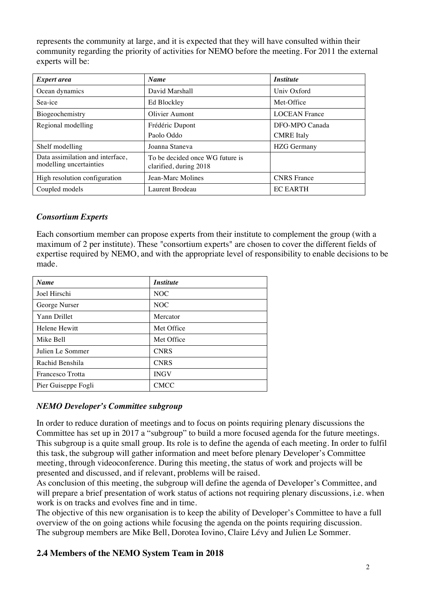represents the community at large, and it is expected that they will have consulted within their community regarding the priority of activities for NEMO before the meeting. For 2011 the external experts will be:

| <i>Expert area</i>                                          | <b>Name</b>                                               | <i><b>Institute</b></i>             |
|-------------------------------------------------------------|-----------------------------------------------------------|-------------------------------------|
| Ocean dynamics                                              | David Marshall                                            | Univ Oxford                         |
| Sea-ice                                                     | Ed Blockley                                               | Met-Office                          |
| Biogeochemistry                                             | Olivier Aumont                                            | <b>LOCEAN France</b>                |
| Regional modelling                                          | Frédéric Dupont<br>Paolo Oddo                             | DFO-MPO Canada<br><b>CMRE</b> Italy |
| Shelf modelling                                             | Joanna Staneva                                            | <b>HZG</b> Germany                  |
| Data assimilation and interface,<br>modelling uncertainties | To be decided once WG future is<br>clarified, during 2018 |                                     |
| High resolution configuration                               | Jean-Marc Molines                                         | <b>CNRS</b> France                  |
| Coupled models                                              | Laurent Brodeau                                           | <b>EC EARTH</b>                     |

## *Consortium Experts*

Each consortium member can propose experts from their institute to complement the group (with a maximum of 2 per institute). These "consortium experts" are chosen to cover the different fields of expertise required by NEMO, and with the appropriate level of responsibility to enable decisions to be made.

| <b>Name</b>          | <i><b>Institute</b></i> |
|----------------------|-------------------------|
| Joel Hirschi         | NOC                     |
| George Nurser        | NOC                     |
| <b>Yann Drillet</b>  | Mercator                |
| <b>Helene Hewitt</b> | Met Office              |
| Mike Bell            | Met Office              |
| Julien Le Sommer     | <b>CNRS</b>             |
| Rachid Benshila      | <b>CNRS</b>             |
| Francesco Trotta     | <b>INGV</b>             |
| Pier Guiseppe Fogli  | <b>CMCC</b>             |

## *NEMO Developer's Committee subgroup*

In order to reduce duration of meetings and to focus on points requiring plenary discussions the Committee has set up in 2017 a "subgroup" to build a more focused agenda for the future meetings. This subgroup is a quite small group. Its role is to define the agenda of each meeting. In order to fulfil this task, the subgroup will gather information and meet before plenary Developer's Committee meeting, through videoconference. During this meeting, the status of work and projects will be presented and discussed, and if relevant, problems will be raised.

As conclusion of this meeting, the subgroup will define the agenda of Developer's Committee, and will prepare a brief presentation of work status of actions not requiring plenary discussions, i.e. when work is on tracks and evolves fine and in time.

The objective of this new organisation is to keep the ability of Developer's Committee to have a full overview of the on going actions while focusing the agenda on the points requiring discussion. The subgroup members are Mike Bell, Dorotea Iovino, Claire Lévy and Julien Le Sommer.

# **2.4 Members of the NEMO System Team in 2018**